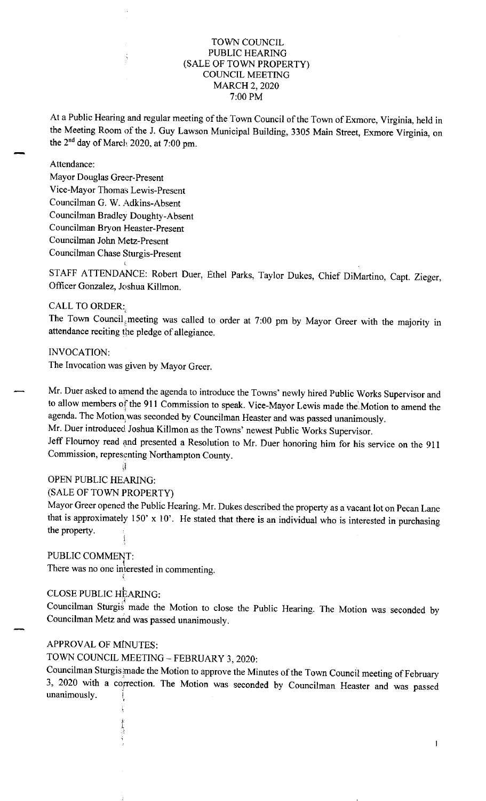#### TOWN COUNCIL PUBLIC HEARING (SALE OF TOWN PROPERTY) COUNCIL MEETING MARCH 2, 2020 7:00 PM

At a Public Hearing and regular meeting of the Town Council of the Town of Exmore, Virginia, held in the Meeting Room of the J. Guy Lawson Municipal Building, 3305 Main Street, Exmore Virginia, on the 2<sup>nd</sup> day of March 2020, at 7:00 pm.

#### Attendance:

Mayor Douglas Greer-Present Vice-Mayor Thomas Lewis-Present Councilman G. W. Adkins-Absent Councilman Bradley Doughty-Absent Councilman Bryon Heaster-Present Councilman John Metz-Present Councilman Chase Sturgis-Present

STAFF ATTENDANCE: Robert Duer, Ethel Parks, Taylor Dukes, Chief DiMartino, Capt. Zieger, Officer Gonzalez, Joshua Killmon.

### CALL TO ORDER:

The Town Council meeting was called to order at 7:00 pm by Mayor Greer with the majority in attendance reciting the pledge of allegiance.

INVOCATION:

The Invocation was given by Mayor Greer.

Mr. Duer asked to amend the agenda to introduce the Towns' newly hired Public Works Supervisor and to allow members of the 911 Commission to speak. Vice-Mayor Lewis made the Motion to amend the agenda. The Motion was seconded by Councilman Heaster and was passed unanimously.

Mr. Duer introduced Joshua Killmon as the Towns' newest Public Works Supervisor.

Jeff Flournoy read and presented a Resolution to Mr. Duer honoring him for his service on the <sup>911</sup> Commission, representing Northampton County.

# đ

## OPEN PUBLIC HEARING: (SALE OF TOWN PROPERTY)

Mayor Greer opened the Public Hearing. Mr. Dukes described the property as a vacant lot on Pecan Lane that is approximately  $150' \times 10'$ . He stated that there is an individual who is interested in purchasing the property. í

#### PUBLIC COMMENT:

There was no one interested in commenting.

### CLOSE PUBLIC HEARING:

Councilman Sturgis made the Motion to close the Public Hearing. The Motion was seconded by Councilman Metz and was passed unanimously.

## APPROVAL OF MINUTES:

TOWN COUNCIL MEETING - FEBRUARY 3, 2020:

Councilman Sturgis made the Motion to approve the Minutes of the Town Council meeting of February 3, 2020 with a correction. The Motion was seconded by Councilman Heaster and was passed unanimously.

1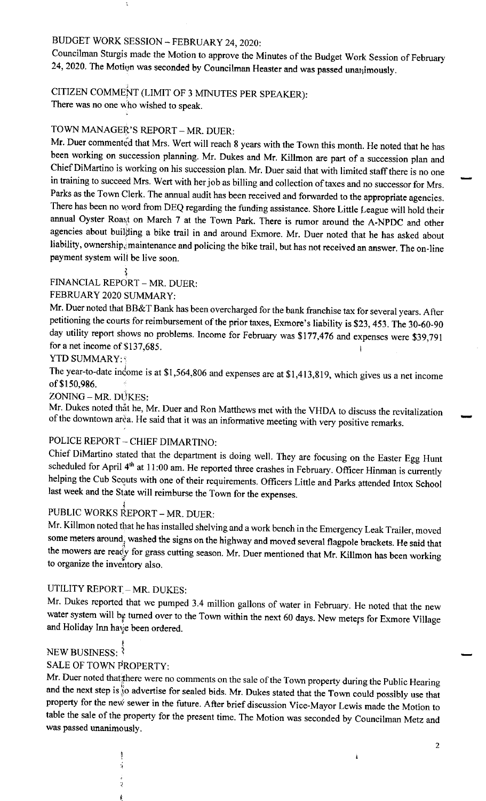# BUDGET WORK SESSION - FEBRUARY 24, 2020:

Councilman Sturgis made the Motion to approve the Minutes of the Budget Work Session of February 24, 2020. The Motion was seconded by Councilman Heaster and was passed unamimously.

# CITIZEN COMMEÑT (LIMIT OF 3 MINUTES PER SPEAKER):

There was no one who wished to speak.

# TOWN MANAGER'S REPORT - MR. DUER:

Mr. Duer commented that Mrs. Wert will reach 8 years with the Town this month. He noted that he has been working on succession planning. Mr. Dukes and Mr. Killmon are part of a succession plan and Chief DiMartino is working on his succession plan. Mr. Duer said that with limited staff there is no one in training to succeed Mrs. Wert with her job as billing and collection of taxes and no successor for Mrs. Parks as the Town Clerk. The annual audit has been received and forwarded to the appropriate agencies. There has been no word from DEQ regarding the funding assistance. Shore Little League will hold their annual Oyster Roast on March 7 at the Town Park. There is rumor around the A-NPDC and other agencies about builßing a bike trail in and around Exmore. Mr. Duer noted that he has asked about liability, ownership, maintenance and policing the bike trail, but has not received an answer. The on-line payment system will be live soon.

#### FINANCIAL REPORT - MR. DUER:

## FEBRUARY 2020 SUMMARY:

Mr. Duer noted that BB&T Bank has been overcharged for the bank franchise tax for several years. After petitioning the courts for reimbursement of the prior taxes, Exmore's liability is \$23, 453. The 30-60-90 day utility report shows no problems. Income for February was \$177,476 and expenses were \$39,791 for a net income of \$137,685.

#### YTD SUMMARY: \$

The year-to-date indome is at \$1,564,806 and expenses are at \$1,413,819, which gives us a net income of \$150,986.

ZONING - MR. DÚKES:

Mr. Dukes noted thåt he, Mr. Duer and Ron Matthews met with the VHDA to discuss the revitalization of the downtown arèa. He said that it was an informative meeting with very positive remarks.

## POLICE REPORT - CHIEF DIMARTINO:

Chief DiMartino stated that the department is doing well. They are focusing on the Easter Egg Hunt scheduled for April 4<sup>th</sup> at 11:00 am. He reported three crashes in February. Officer Hinman is currently helping the Cub Scouts with one of their requirements. Officers Little and Parks attended Intox School last week and the State will reimburse the Town for the expenses.

# PUBLIC WORKS REPORT - MR. DUER:

Mr. Killmon noted that he has installed shelving and a work bench in the Emergency Leak Trailer, moved some meters around; washed the signs on the highway and moved several flagpole brackets. He said that the mowers are ready for grass cutting season. Mr. Duer mentioned that Mr. Killmon has been working to organize the inventory also.

# UTILITY REPORT - MR. DUKES:

Mr. Dukes reported that we pumped 3.4 million gallons of water in February. He noted that the new water system will by turned over to the Town within the next 60 days. New meters for Exmore Village and Holiday Inn have been ordered.

#### NEW BUSINESS: 3

#### SALE OF TOWN PROPERTY:

Mr. Duer noted that there were no comments on the sale of the Town property during the Public Hearing and the next step is so advertise for sealed bids. Mr. Dukes stated that the Town could possibly use that property for the new sewer in the future. After brief discussion Vice-Mayor Lewis made the Motion to table the sale of the property for the present time. The Motion was seconded by Councilman Metz and was passed unanimously.

ì